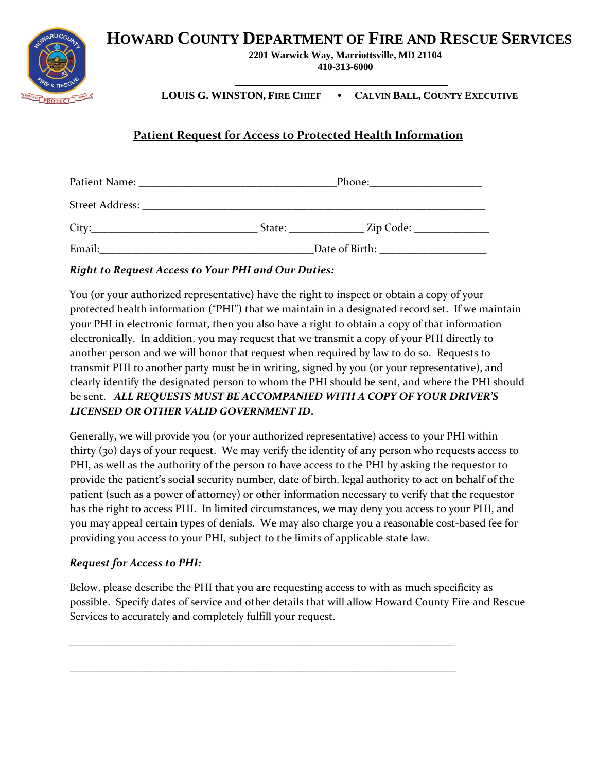**HOWARD COUNTY DEPARTMENT OF FIRE AND RESCUE SERVICES** 



**2201 Warwick Way, Marriottsville, MD 21104 410-313-6000** 

**LOUIS G. WINSTON, FIRE CHIEF • CALVIN BALL, COUNTY EXECUTIVE**

## **Patient Request for Access to Protected Health Information**

|        | Phone:         |                             |  |
|--------|----------------|-----------------------------|--|
|        |                |                             |  |
| City:  | State:         | _ Zip Code: _______________ |  |
| Email: | Date of Birth: |                             |  |

## *Right to Request Access to Your PHI and Our Duties:*

You (or your authorized representative) have the right to inspect or obtain a copy of your protected health information ("PHI") that we maintain in a designated record set. If we maintain your PHI in electronic format, then you also have a right to obtain a copy of that information electronically. In addition, you may request that we transmit a copy of your PHI directly to another person and we will honor that request when required by law to do so. Requests to transmit PHI to another party must be in writing, signed by you (or your representative), and clearly identify the designated person to whom the PHI should be sent, and where the PHI should be sent. *ALL REQUESTS MUST BE ACCOMPANIED WITH A COPY OF YOUR DRIVER'S LICENSED OR OTHER VALID GOVERNMENT ID***.**

Generally, we will provide you (or your authorized representative) access to your PHI within thirty (30) days of your request. We may verify the identity of any person who requests access to PHI, as well as the authority of the person to have access to the PHI by asking the requestor to provide the patient's social security number, date of birth, legal authority to act on behalf of the patient (such as a power of attorney) or other information necessary to verify that the requestor has the right to access PHI. In limited circumstances, we may deny you access to your PHI, and you may appeal certain types of denials. We may also charge you a reasonable cost-based fee for providing you access to your PHI, subject to the limits of applicable state law.

## *Request for Access to PHI:*

Below, please describe the PHI that you are requesting access to with as much specificity as possible. Specify dates of service and other details that will allow Howard County Fire and Rescue Services to accurately and completely fulfill your request.

\_\_\_\_\_\_\_\_\_\_\_\_\_\_\_\_\_\_\_\_\_\_\_\_\_\_\_\_\_\_\_\_\_\_\_\_\_\_\_\_\_\_\_\_\_\_\_\_\_\_\_\_\_\_\_\_\_\_\_\_\_\_\_\_\_\_\_\_\_\_\_\_

\_\_\_\_\_\_\_\_\_\_\_\_\_\_\_\_\_\_\_\_\_\_\_\_\_\_\_\_\_\_\_\_\_\_\_\_\_\_\_\_\_\_\_\_\_\_\_\_\_\_\_\_\_\_\_\_\_\_\_\_\_\_\_\_\_\_\_\_\_\_\_\_